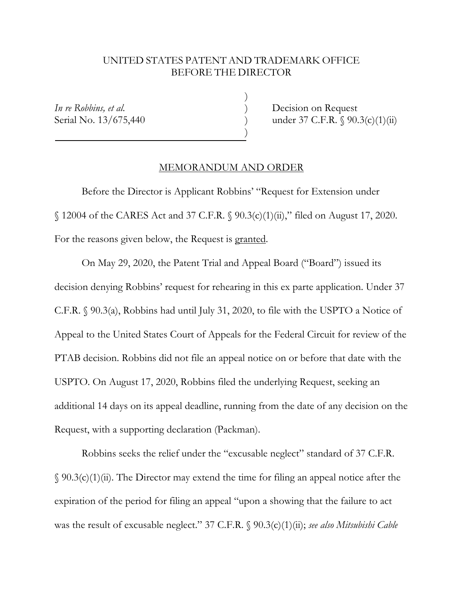## UNITED STATES PATENT AND TRADEMARK OFFICE BEFORE THE DIRECTOR

Ī

)

)

*In re Robbins, et al.* **Decision on Request** Serial No. 13/675,440 *p* (1) *under 37 C.F.R.* § 90.3(c)(1)(ii)

## MEMORANDUM AND ORDER

 Before the Director is Applicant Robbins' "Request for Extension under § 12004 of the CARES Act and 37 C.F.R. § 90.3(c)(1)(ii)," filed on August 17, 2020. For the reasons given below, the Request is granted.

 On May 29, 2020, the Patent Trial and Appeal Board ("Board") issued its decision denying Robbins' request for rehearing in this ex parte application. Under 37 C.F.R. § 90.3(a), Robbins had until July 31, 2020, to file with the USPTO a Notice of Appeal to the United States Court of Appeals for the Federal Circuit for review of the PTAB decision. Robbins did not file an appeal notice on or before that date with the USPTO. On August 17, 2020, Robbins filed the underlying Request, seeking an additional 14 days on its appeal deadline, running from the date of any decision on the Request, with a supporting declaration (Packman).

Robbins seeks the relief under the "excusable neglect" standard of 37 C.F.R.  $\S$  90.3(c)(1)(ii). The Director may extend the time for filing an appeal notice after the expiration of the period for filing an appeal "upon a showing that the failure to act was the result of excusable neglect." 37 C.F.R. § 90.3(c)(1)(ii); *see also Mitsubishi Cable*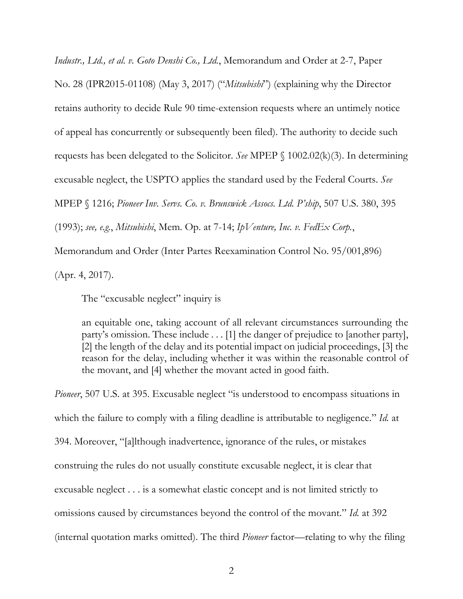*Industr., Ltd., et al. v. Goto Denshi Co., Ltd.*, Memorandum and Order at 2-7, Paper No. 28 (IPR2015-01108) (May 3, 2017) ("*Mitsubishi*") (explaining why the Director retains authority to decide Rule 90 time-extension requests where an untimely notice of appeal has concurrently or subsequently been filed). The authority to decide such requests has been delegated to the Solicitor. *See* MPEP § 1002.02(k)(3). In determining excusable neglect, the USPTO applies the standard used by the Federal Courts. *See* MPEP § 1216; *Pioneer Inv. Servs. Co. v. Brunswick Assocs. Ltd. P'ship*, 507 U.S. 380, 395 (1993); *see, e.g.*, *Mitsubishi*, Mem. Op. at 7-14; *IpVenture, Inc. v. FedEx Corp.*, Memorandum and Order (Inter Partes Reexamination Control No. 95/001,896)

(Apr. 4, 2017).

The "excusable neglect" inquiry is

an equitable one, taking account of all relevant circumstances surrounding the party's omission. These include . . . [1] the danger of prejudice to [another party], [2] the length of the delay and its potential impact on judicial proceedings, [3] the reason for the delay, including whether it was within the reasonable control of the movant, and [4] whether the movant acted in good faith.

*Pioneer*, 507 U.S. at 395. Excusable neglect "is understood to encompass situations in which the failure to comply with a filing deadline is attributable to negligence." *Id.* at 394. Moreover, "[a]lthough inadvertence, ignorance of the rules, or mistakes construing the rules do not usually constitute excusable neglect, it is clear that excusable neglect . . . is a somewhat elastic concept and is not limited strictly to omissions caused by circumstances beyond the control of the movant." *Id.* at 392 (internal quotation marks omitted). The third *Pioneer* factor—relating to why the filing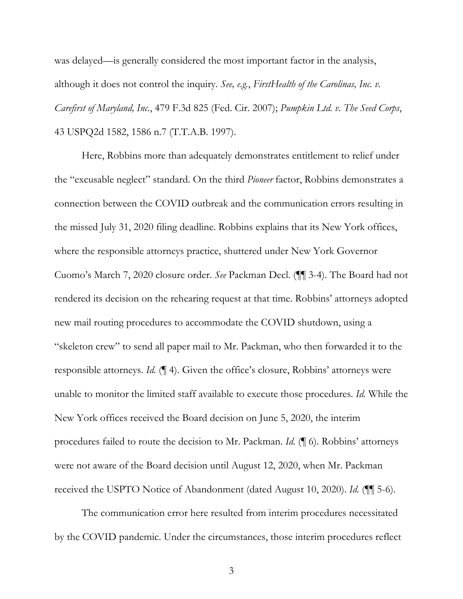was delayed—is generally considered the most important factor in the analysis, although it does not control the inquiry. *See, e.g.*, *FirstHealth of the Carolinas, Inc. v. Carefirst of Maryland, Inc.*, 479 F.3d 825 (Fed. Cir. 2007); *Pumpkin Ltd. v. The Seed Corps*, 43 USPQ2d 1582, 1586 n.7 (T.T.A.B. 1997).

 Here, Robbins more than adequately demonstrates entitlement to relief under the "excusable neglect" standard. On the third *Pioneer* factor, Robbins demonstrates a connection between the COVID outbreak and the communication errors resulting in the missed July 31, 2020 filing deadline. Robbins explains that its New York offices, where the responsible attorneys practice, shuttered under New York Governor Cuomo's March 7, 2020 closure order. *See* Packman Decl. (¶¶ 3-4). The Board had not rendered its decision on the rehearing request at that time. Robbins' attorneys adopted new mail routing procedures to accommodate the COVID shutdown, using a "skeleton crew" to send all paper mail to Mr. Packman, who then forwarded it to the responsible attorneys. *Id.* (¶ 4). Given the office's closure, Robbins' attorneys were unable to monitor the limited staff available to execute those procedures. *Id.* While the New York offices received the Board decision on June 5, 2020, the interim procedures failed to route the decision to Mr. Packman. *Id.* (¶ 6). Robbins' attorneys were not aware of the Board decision until August 12, 2020, when Mr. Packman received the USPTO Notice of Abandonment (dated August 10, 2020). *Id.* (¶¶ 5-6).

 The communication error here resulted from interim procedures necessitated by the COVID pandemic. Under the circumstances, those interim procedures reflect

3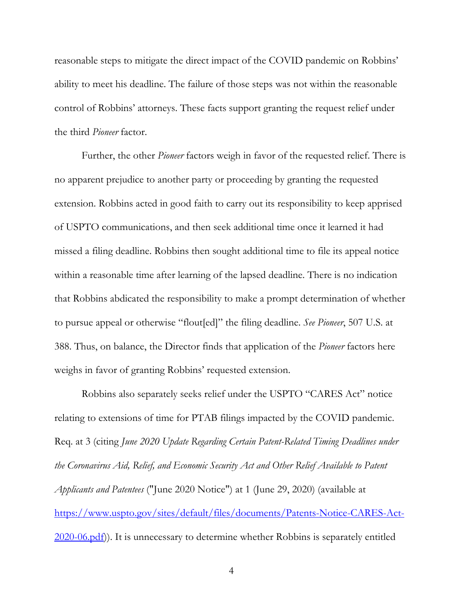reasonable steps to mitigate the direct impact of the COVID pandemic on Robbins' ability to meet his deadline. The failure of those steps was not within the reasonable control of Robbins' attorneys. These facts support granting the request relief under the third *Pioneer* factor.

Further, the other *Pioneer* factors weigh in favor of the requested relief. There is no apparent prejudice to another party or proceeding by granting the requested extension. Robbins acted in good faith to carry out its responsibility to keep apprised of USPTO communications, and then seek additional time once it learned it had missed a filing deadline. Robbins then sought additional time to file its appeal notice within a reasonable time after learning of the lapsed deadline. There is no indication that Robbins abdicated the responsibility to make a prompt determination of whether to pursue appeal or otherwise "flout[ed]" the filing deadline. *See Pioneer*, 507 U.S. at 388. Thus, on balance, the Director finds that application of the *Pioneer* factors here weighs in favor of granting Robbins' requested extension.

Robbins also separately seeks relief under the USPTO "CARES Act" notice relating to extensions of time for PTAB filings impacted by the COVID pandemic. Req. at 3 (citing *June 2020 Update Regarding Certain Patent-Related Timing Deadlines under the Coronavirus Aid, Relief, and Economic Security Act and Other Relief Available to Patent Applicants and Patentees* ("June 2020 Notice") at 1 (June 29, 2020) (available at https://www.uspto.gov/sites/default/files/documents/Patents-Notice-CARES-Act-2020-06.pdf)). It is unnecessary to determine whether Robbins is separately entitled